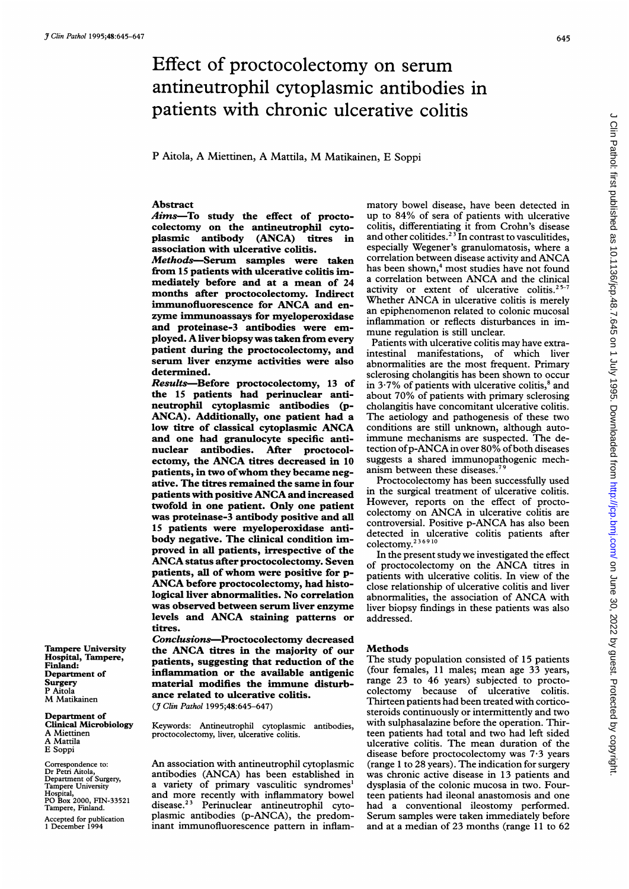# Effect of proctocolectomy on serum antineutrophil cytoplasmic antibodies in patients with chronic ulcerative colitis

<sup>P</sup> Aitola, A Miettinen, A Mattila, M Matikainen, <sup>E</sup> Soppi

## Abstract

Aims-To study the effect of proctocolectomy on the antineutrophil cytoplasmic antibody (ANCA) titres in association with ulcerative colitis.

Methods-Serum samples were taken from 15 patients with ulcerative colitis immediately before and at a mean of 24 months after proctocolectomy. Indirect immunofluorescence for ANCA and enzyme immunoassays for myeloperoxidase and proteinase-3 antibodies were employed. Aliver biopsy was taken from every patient during the proctocolectomy, and serum liver enzyme activities were also determined.

Results-Before proctocolectomy, 13 of the 15 patients had perinuclear antineutrophil cytoplasmic antibodies (p-ANCA). Additionally, one patient had a low titre of classical cytoplasmic ANCA and one had granulocyte specific antinuclear antibodies. After proctocolectomy, the ANCA titres decreased in <sup>10</sup> patients, in two ofwhom they became negative. The titres remained the same in four patients with positive ANCA and increased twofold in one patient. Only one patient was proteinase-3 antibody positive and all 15 patients were myeloperoxidase antibody negative. The clinical condition improved in all patients, irrespective of the ANCAstatus after proctocolectomy. Seven patients, all of whom were positive for p-ANCA before proctocolectomy, had histological liver abnormalities. No correlation was observed between serum liver enzyme levels and ANCA staining patterns or titres.

Conclusions-Proctocolectomy decreased the ANCA titres in the majority of our patients, suggesting that reduction of the inflammation or the available antigenic material modifies the immune disturbance related to ulcerative colitis. (J Clin Pathol 1995;48:645-647)

Keywords: Antineutrophil cytoplasmic antibodies, proctocolectomy, liver, ulcerative colitis.

An association with antineutrophil cytoplasmic antibodies (ANCA) has been established in a variety of primary vasculitic syndromes' and more recently with inflammatory bowel disease.23 Perinuclear antineutrophil cytoplasmic antibodies (p-ANCA), the predominant immunofluorescence pattern in inflammatory bowel disease, have been detected in up to 84% of sera of patients with ulcerative colitis, differentiating it from Crohn's disease and other colitides.<sup>23</sup> In contrast to vasculitides, especially Wegener's granulomatosis, where a correlation between disease activity and ANCA has been shown,<sup>4</sup> most studies have not found <sup>a</sup> correlation between ANCA and the clinical activity or extent of ulcerative colitis.<sup>2</sup> Whether ANCA in ulcerative colitis is merely an epiphenomenon related to colonic mucosal inflammation or reflects disturbances in immune regulation is still unclear.

Patients with ulcerative colitis may have extraintestinal manifestations, of which liver abnormalities are the most frequent. Primary sclerosing cholangitis has been shown to occur in  $3.7\%$  of patients with ulcerative colitis,<sup>8</sup> and about 70% of patients with primary sclerosing cholangitis have concomitant ulcerative colitis. The aetiology and pathogenesis of these two conditions are still unknown, although autoimmune mechanisms are suspected. The detection of p-ANCA in over 80% of both diseases suggests a shared immunopathogenic mechanism between these diseases.<sup>7</sup>

Proctocolectomy has been successfully used in the surgical treatment of ulcerative colitis. However, reports on the effect of proctocolectomy on ANCA in ulcerative colitis are controversial. Positive p-ANCA has also been detected in ulcerative colitis patients after colectomy.<sup>236910</sup>

In the present study we investigated the effect of proctocolectomy on the ANCA titres in patients with ulcerative colitis. In view of the close relationship of ulcerative colitis and liver abnormalities, the association of ANCA with liver biopsy findings in these patients was also addressed.

#### Methods

The study population consisted of 15 patients (four females, <sup>11</sup> males; mean age 33 years, range 23 to 46 years) subjected to proctocolectomy because of ulcerative colitis. Thirteen patients had been treated with corticosteroids continuously or intermittently and two with sulphasalazine before the operation. Thirteen patients had total and two had left sided ulcerative colitis. The mean duration of the disease before proctocolectomy was 7-3 years (range <sup>1</sup> to 28 years). The indication for surgery was chronic active disease in 13 patients and dysplasia of the colonic mucosa in two. Fourteen patients had ileonal anastomosis and one had a conventional ileostomy performed. Serum samples were taken immediately before and at a median of 23 months (range 11 to 62

Tampere University Hospital, Tampere, Finland: Department of **Surgery**<br>P Aitola M Matikainen

Department of Clinical Microbiology A Miettinen A Mattila E Soppi

Correspondence to: Dr Petri Aitola, Department of Surgery, Tampere University Hospital, PO Box 2000, FIN-33521 Tampere, Finland. Accepted for publication <sup>1</sup> December 1994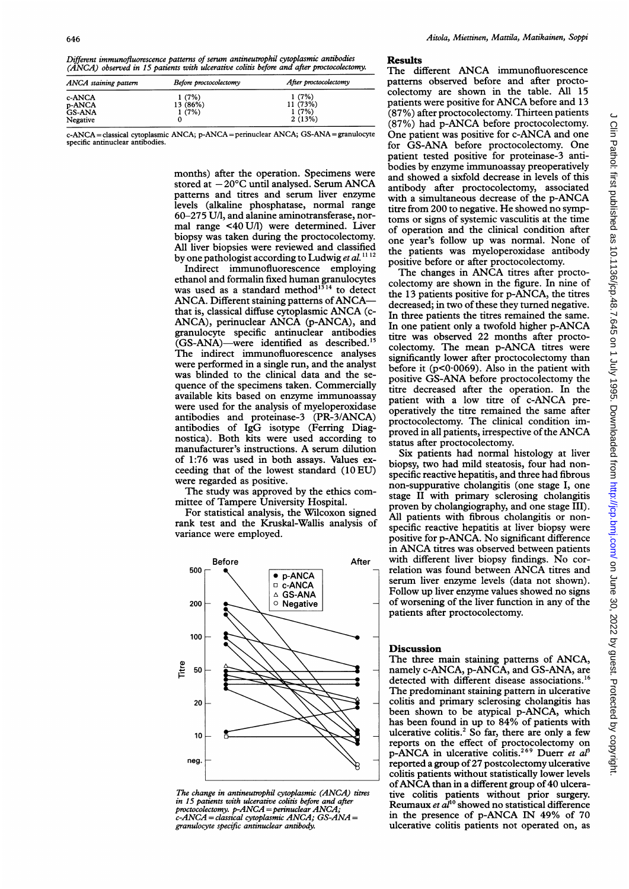Different immunofluorescence patterns of serum antineutrophil cytoplasmic antibodies (ANCA) observed in 15 patients with ulcerative colitis before and after proctocolectomy.

| ANCA staining pattern | Before proctocolectomy | After proctocolectomy |
|-----------------------|------------------------|-----------------------|
| c-ANCA                | 1(7%)                  | 1(7%)                 |
| p-ANCA                | 13 (86%)               | 11 (73%)              |
| <b>GS-ANA</b>         | 1(7%)                  | 1(7%)                 |
| Negative              |                        | 2(13%)                |

c-ANCA = classical cytoplasmic ANCA; p-ANCA = perinuclear ANCA; GS-ANA = granulocyte specific antinuclear antibodi

> months) after the operation. Specimens were stored at  $-20^{\circ}$ C until analysed. Serum ANCA patterns and titres and serum liver enzyme levels (alkaline phosphatase, normal range 60-275 U/l, and alanine aminotransferase, normal range <40 U/1) were determined. Liver biopsy was taken during the proctocolectomy. All liver biopsies were reviewed and classified by one pathologist according to Ludwig et al.  $1112$

> Indirect immunofluorescence employing ethanol and formalin fixed human granulocytes was used as a standard method<sup>1314</sup> to detect ANCA. Different staining patterns of ANCAthat is, classical diffuse cytoplasmic ANCA (c-ANCA), perinuclear ANCA (p-ANCA), and granulocyte specific antinuclear antibodies (GS-ANA)-were identified as described.<sup>15</sup> The indirect immunofluorescence analyses were performed in a single run, and the analyst was blinded to the clinical data and the sequence of the specimens taken. Commercially available kits based on enzyme immunoassay were used for the analysis of myeloperoxidase antibodies and proteinase-3 (PR-3/ANCA) antibodies of IgG isotype (Ferring Diagnostica). Both kits were used according to manufacturer's instructions. A serum dilution of 1:76 was used in both assays. Values exceeding that of the lowest standard (10EU) were regarded as positive.

The study was approved by the ethics committee of Tampere University Hospital.

For statistical analysis, the Wilcoxon signed rank test and the Kruskal-Wallis analysis of variance were employed.



The change in antineutrophil cytoplasmic (ANCA) titres in 15 patients with ulcerative colitis before and after proctocolectomy. p-ANCA =perinuclear ANCA; c-ANCA = classical cytoplasmic ANCA; GS-ANA = granulocyte specific antinuclear antibody.

#### Results

The different ANCA immunofluorescence patterns observed before and after proctocolectomy are shown in the table. All 15 patients were positive for ANCA before and <sup>13</sup> (87%) after proctocolectomy. Thirteen patients (87%) had p-ANCA before proctocolectomy. One patient was positive for c-ANCA and one for GS-ANA before proctocolectomy. One patient tested positive for proteinase-3 antibodies by enzyme immunoassay preoperatively and showed a sixfold decrease in levels of this antibody after proctocolectomy, associated with <sup>a</sup> simultaneous decrease of the p-ANCA titre from 200 to negative. He showed no symptoms or signs of systemic vasculitis at the time of operation and the clinical condition after one year's follow up was normal. None of the patients was myeloperoxidase antibody positive before or after proctocolectomy.

The changes in ANCA titres after proctocolectomy are shown in the figure. In nine of the 13 patients positive for p-ANCA, the titres decreased; in two of these they turned negative. In three patients the titres remained the same. In one patient only <sup>a</sup> twofold higher p-ANCA titre was observed 22 months after proctocolectomy. The mean p-ANCA titres were significantly lower after proctocolectomy than before it ( $p<0.0069$ ). Also in the patient with positive GS-ANA before proctocolectomy the titre decreased after the operation. In the patient with <sup>a</sup> low titre of c-ANCA preoperatively the titre remained the same after proctocolectomy. The clinical condition improved in all patients, irrespective of the ANCA status after proctocolectomy.

Six patients had normal histology at liver biopsy, two had mild steatosis, four had nonspecific reactive hepatitis, and three had fibrous non-suppurative cholangitis (one stage I, one stage II with primary sclerosing cholangitis proven by cholangiography, and one stage III). All patients with fibrous cholangitis or nonspecific reactive hepatitis at liver biopsy were positive for p-ANCA. No significant difference in ANCA titres was observed between patients with different liver biopsy findings. No correlation was found between ANCA titres and serum liver enzyme levels (data not shown). Follow up liver enzyme values showed no signs of worsening of the liver function in any of the patients after proctocolectomy.

### **Discussion**

The three main staining patterns of ANCA, namely c-ANCA, p-ANCA, and GS-ANA, are detected with different disease associations.'6 The predominant staining pattern in ulcerative colitis and primary sclerosing cholangitis has been shown to be atypical p-ANCA, which has been found in up to 84% of patients with ulcerative colitis.<sup>2</sup> So far, there are only a few reports on the effect of proctocolectomy on p-ANCA in ulcerative colitis.<sup>269</sup> Duerr et al<sup>3</sup> reported a group of 27 postcolectomy ulcerative colitis patients without statistically lower levels ofANCA than in <sup>a</sup> different group of <sup>40</sup> ulcerative colitis patients without prior surgery. Reumaux et  $aI^{10}$  showed no statistical difference in the presence of p-ANCA IN 49% of 70 ulcerative colitis patients not operated on, as